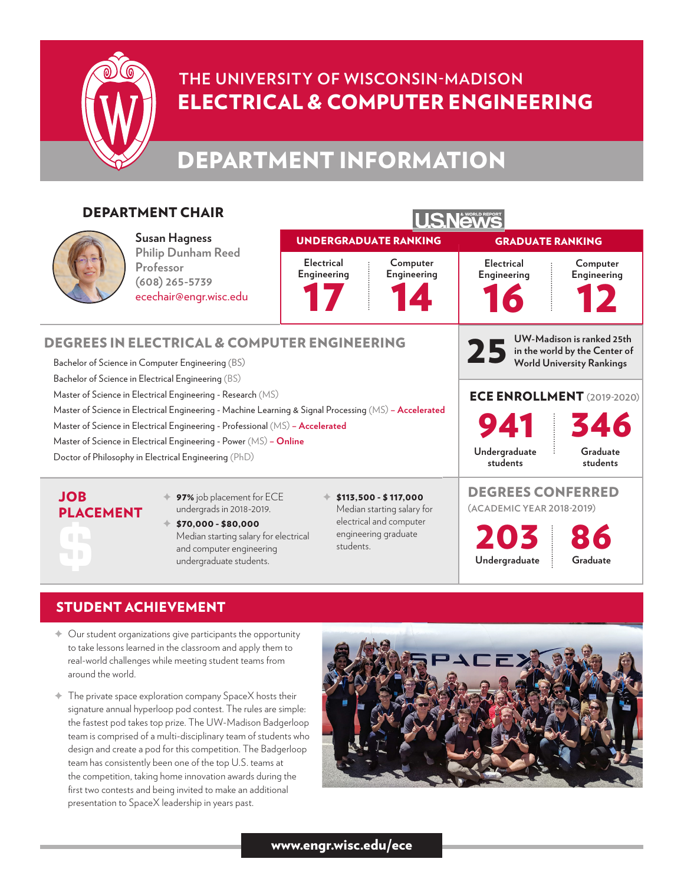

## **THE UNIVERSITY OF WISCONSIN-MADISON** ELECTRICAL & COMPUTER ENGINEERING

## DEPARTMENT INFORMATION

#### DEPARTMENT CHAIR **U.S.News Susan Hagness** UNDERGRADUATE RANKING GRADUATE RANKING**Philip Dunham Reed Electrical Computer Electrical Computer Professor Engineering Engineering Engineering Engineering (608) 265-5739** 17 14 16 12 ecechair@engr.wisc.edu **UW-Madison is ranked 25th**  DEGREES IN ELECTRICAL & COMPUTER ENGINEERING **in the world by the Center of** 25 **World University Rankings** Bachelor of Science in Computer Engineering (BS) Bachelor of Science in Electrical Engineering (BS) Master of Science in Electrical Engineering - Research (MS) ECE ENROLLMENT **(2019-2020)** Master of Science in Electrical Engineering - Machine Learning & Signal Processing (MS) **– Accelerated** 941 346 Master of Science in Electrical Engineering - Professional (MS) **– Accelerated** Master of Science in Electrical Engineering - Power (MS) **– Online Undergraduate Graduate** Doctor of Philosophy in Electrical Engineering (PhD) **students students** DEGREES CONFERRED JOB ◆ 97% job placement for ECE  $\div$  \$113,500 - \$ 117,000 **(ACADEMIC YEAR 2018-2019)** undergrads in 2018-2019. Median starting salary for PLACEMENT electrical and computer  $*$  \$70,000 - \$80,000 203 86 **\$** engineering graduate Median starting salary for electrical students. and computer engineering undergraduate students. **Undergraduate Graduate**

### STUDENT ACHIEVEMENT

- $\blacklozenge$  Our student organizations give participants the opportunity to take lessons learned in the classroom and apply them to real-world challenges while meeting student teams from around the world.
- $\blacklozenge$  The private space exploration company SpaceX hosts their signature annual hyperloop pod contest. The rules are simple: the fastest pod takes top prize. The UW-Madison Badgerloop team is comprised of a multi-disciplinary team of students who design and create a pod for this competition. The Badgerloop team has consistently been one of the top U.S. teams at the competition, taking home innovation awards during the first two contests and being invited to make an additional presentation to SpaceX leadership in years past.